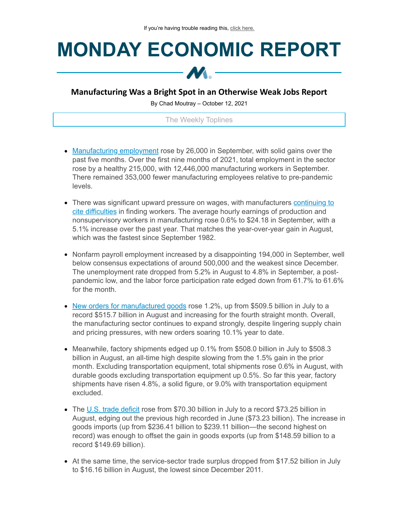## **MONDAY ECONOMIC REPORT**



## **Manufacturing Was a Bright Spot in an Otherwise Weak Jobs Report**

By Chad Moutray – October 12, 2021

## The Weekly Toplines

- [Manufacturing](https://click.email.nam.org/?qs=8a2af57ecf6bcd41d38aa2761a0bf99e2fd5d2c0574537e334f1e20755fb87345376b2e0deee6a22a8e199b7d8549b874b326b41c86262d9) employment rose by 26,000 in September, with solid gains over the past five months. Over the first nine months of 2021, total employment in the sector rose by a healthy 215,000, with 12,446,000 manufacturing workers in September. There remained 353,000 fewer manufacturing employees relative to pre-pandemic levels.
- There was significant upward pressure on wages, with [manufacturers](https://click.email.nam.org/?qs=8a2af57ecf6bcd41a02b634d67cf233d838ed4a8baa43be14f249c954bee891548adf9c359f39965bb9e94b171bf0f3141213000436c2eba) continuing to cite difficulties in finding workers. The average hourly earnings of production and nonsupervisory workers in manufacturing rose 0.6% to \$24.18 in September, with a 5.1% increase over the past year. That matches the year-over-year gain in August, which was the fastest since September 1982.
- Nonfarm payroll employment increased by a disappointing 194,000 in September, well below consensus expectations of around 500,000 and the weakest since December. The unemployment rate dropped from 5.2% in August to 4.8% in September, a postpandemic low, and the labor force participation rate edged down from 61.7% to 61.6% for the month.
- New orders for [manufactured](https://click.email.nam.org/?qs=8a2af57ecf6bcd419712354a67a4d9426d7161acc5baf31843e95b4a03862c09c1a72e1d15bfeeb1f6195b1dbe0ad01065ef058f23c4fb33) goods rose 1.2%, up from \$509.5 billion in July to a record \$515.7 billion in August and increasing for the fourth straight month. Overall, the manufacturing sector continues to expand strongly, despite lingering supply chain and pricing pressures, with new orders soaring 10.1% year to date.
- $\bullet$  Meanwhile, factory shipments edged up 0.1% from \$508.0 billion in July to \$508.3 billion in August, an all-time high despite slowing from the 1.5% gain in the prior month. Excluding transportation equipment, total shipments rose 0.6% in August, with durable goods excluding transportation equipment up 0.5%. So far this year, factory shipments have risen 4.8%, a solid figure, or 9.0% with transportation equipment excluded.
- The U.S. trade [deficit](https://click.email.nam.org/?qs=8a2af57ecf6bcd417592c174bce29e3bed0dde2b2c404205ef0cc5f73b89ec362db186c6e65a8be80ef75106f33fc21ebccc9dad52cf4108) rose from \$70.30 billion in July to a record \$73.25 billion in August, edging out the previous high recorded in June (\$73.23 billion). The increase in goods imports (up from \$236.41 billion to \$239.11 billion—the second highest on record) was enough to offset the gain in goods exports (up from \$148.59 billion to a record \$149.69 billion).
- At the same time, the service-sector trade surplus dropped from \$17.52 billion in July to \$16.16 billion in August, the lowest since December 2011.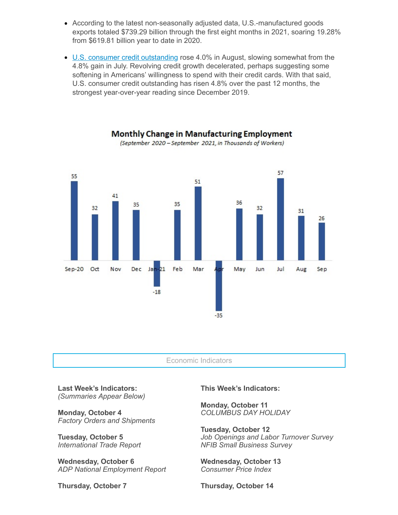- According to the latest non-seasonally adjusted data, U.S.-manufactured goods exports totaled \$739.29 billion through the first eight months in 2021, soaring 19.28% from \$619.81 billion year to date in 2020.
- U.S. consumer credit [outstanding](https://click.email.nam.org/?qs=8a2af57ecf6bcd41d9c798620484b041000a5b333506c6cca9d355b9fbfbac1dadf9d6d3820adc079d9875b62963ed11dd1a859bfee61959) rose 4.0% in August, slowing somewhat from the 4.8% gain in July. Revolving credit growth decelerated, perhaps suggesting some softening in Americans' willingness to spend with their credit cards. With that said, U.S. consumer credit outstanding has risen 4.8% over the past 12 months, the strongest year-over-year reading since December 2019.



**Monthly Change in Manufacturing Employment** (September 2020 - September 2021, in Thousands of Workers)

Economic Indicators

**Last Week's Indicators:** *(Summaries Appear Below)*

**Monday, October 4** *Factory Orders and Shipments*

**Tuesday, October 5** *International Trade Report*

**Wednesday, October 6** *ADP National Employment Report*

**Thursday, October 7**

**This Week's Indicators:**

**Monday, October 11** *COLUMBUS DAY HOLIDAY*

**Tuesday, October 12** *Job Openings and Labor Turnover Survey NFIB Small Business Survey*

**Wednesday, October 13** *Consumer Price Index*

**Thursday, October 14**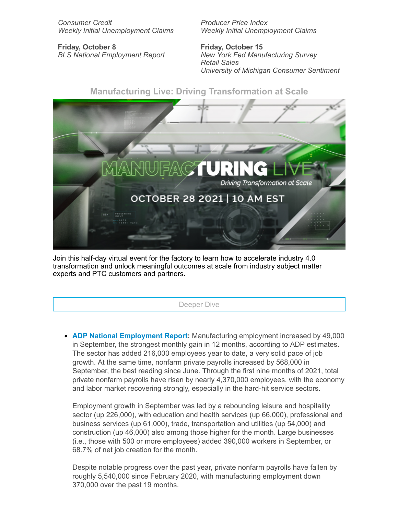*Consumer Credit Weekly Initial Unemployment Claims*

**Friday, October 8** *BLS National Employment Report* *Producer Price Index Weekly Initial Unemployment Claims*

**Friday, October 15** *New York Fed Manufacturing Survey Retail Sales University of Michigan Consumer Sentiment*



Join this half-day virtual event for the factory to learn how to accelerate industry 4.0 transformation and unlock meaningful outcomes at scale from industry subject matter experts and PTC customers and partners.

Deeper Dive

**ADP National [Employment](https://click.email.nam.org/?qs=f3ca9ac9a1dc9df312ff3d2f6437ea4e3d37fbe9f3a912fed51f0c84571f649fa40f947cdc8f07053f521fe4ff32681c786f1f9cc97bb827) Report:** Manufacturing employment increased by 49,000 in September, the strongest monthly gain in 12 months, according to ADP estimates. The sector has added 216,000 employees year to date, a very solid pace of job growth. At the same time, nonfarm private payrolls increased by 568,000 in September, the best reading since June. Through the first nine months of 2021, total private nonfarm payrolls have risen by nearly 4,370,000 employees, with the economy and labor market recovering strongly, especially in the hard-hit service sectors.

Employment growth in September was led by a rebounding leisure and hospitality sector (up 226,000), with education and health services (up 66,000), professional and business services (up 61,000), trade, transportation and utilities (up 54,000) and construction (up 46,000) also among those higher for the month. Large businesses (i.e., those with 500 or more employees) added 390,000 workers in September, or 68.7% of net job creation for the month.

Despite notable progress over the past year, private nonfarm payrolls have fallen by roughly 5,540,000 since February 2020, with manufacturing employment down 370,000 over the past 19 months.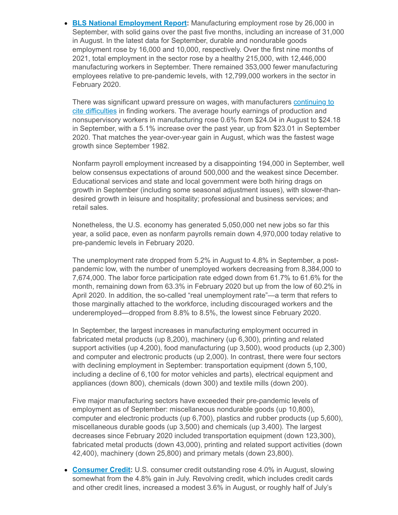**BLS National [Employment](https://click.email.nam.org/?qs=8a2af57ecf6bcd41d38aa2761a0bf99e2fd5d2c0574537e334f1e20755fb87345376b2e0deee6a22a8e199b7d8549b874b326b41c86262d9) Report:** Manufacturing employment rose by 26,000 in September, with solid gains over the past five months, including an increase of 31,000 in August. In the latest data for September, durable and nondurable goods employment rose by 16,000 and 10,000, respectively. Over the first nine months of 2021, total employment in the sector rose by a healthy 215,000, with 12,446,000 manufacturing workers in September. There remained 353,000 fewer manufacturing employees relative to pre-pandemic levels, with 12,799,000 workers in the sector in February 2020.

There was significant upward pressure on wages, with [manufacturers](https://click.email.nam.org/?qs=8a2af57ecf6bcd41a02b634d67cf233d838ed4a8baa43be14f249c954bee891548adf9c359f39965bb9e94b171bf0f3141213000436c2eba) continuing to cite difficulties in finding workers. The average hourly earnings of production and nonsupervisory workers in manufacturing rose 0.6% from \$24.04 in August to \$24.18 in September, with a 5.1% increase over the past year, up from \$23.01 in September 2020. That matches the year-over-year gain in August, which was the fastest wage growth since September 1982.

Nonfarm payroll employment increased by a disappointing 194,000 in September, well below consensus expectations of around 500,000 and the weakest since December. Educational services and state and local government were both hiring drags on growth in September (including some seasonal adjustment issues), with slower-thandesired growth in leisure and hospitality; professional and business services; and retail sales.

Nonetheless, the U.S. economy has generated 5,050,000 net new jobs so far this year, a solid pace, even as nonfarm payrolls remain down 4,970,000 today relative to pre-pandemic levels in February 2020.

The unemployment rate dropped from 5.2% in August to 4.8% in September, a postpandemic low, with the number of unemployed workers decreasing from 8,384,000 to 7,674,000. The labor force participation rate edged down from 61.7% to 61.6% for the month, remaining down from 63.3% in February 2020 but up from the low of 60.2% in April 2020. In addition, the so-called "real unemployment rate"—a term that refers to those marginally attached to the workforce, including discouraged workers and the underemployed—dropped from 8.8% to 8.5%, the lowest since February 2020.

In September, the largest increases in manufacturing employment occurred in fabricated metal products (up 8,200), machinery (up 6,300), printing and related support activities (up 4,200), food manufacturing (up 3,500), wood products (up 2,300) and computer and electronic products (up 2,000). In contrast, there were four sectors with declining employment in September: transportation equipment (down 5,100, including a decline of 6,100 for motor vehicles and parts), electrical equipment and appliances (down 800), chemicals (down 300) and textile mills (down 200).

Five major manufacturing sectors have exceeded their pre-pandemic levels of employment as of September: miscellaneous nondurable goods (up 10,800), computer and electronic products (up 6,700), plastics and rubber products (up 5,600), miscellaneous durable goods (up 3,500) and chemicals (up 3,400). The largest decreases since February 2020 included transportation equipment (down 123,300), fabricated metal products (down 43,000), printing and related support activities (down 42,400), machinery (down 25,800) and primary metals (down 23,800).

**[Consumer](https://click.email.nam.org/?qs=8a2af57ecf6bcd41d9c798620484b041000a5b333506c6cca9d355b9fbfbac1dadf9d6d3820adc079d9875b62963ed11dd1a859bfee61959) Credit:** U.S. consumer credit outstanding rose 4.0% in August, slowing somewhat from the 4.8% gain in July. Revolving credit, which includes credit cards and other credit lines, increased a modest 3.6% in August, or roughly half of July's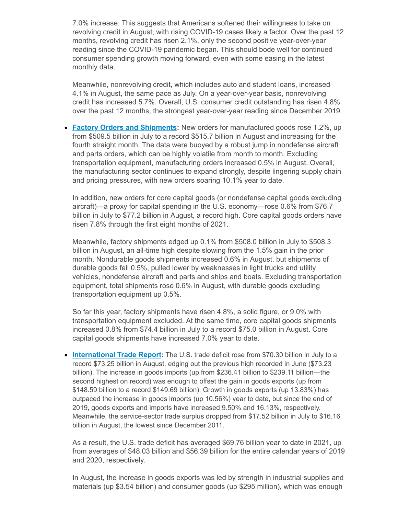7.0% increase. This suggests that Americans softened their willingness to take on revolving credit in August, with rising COVID-19 cases likely a factor. Over the past 12 months, revolving credit has risen 2.1%, only the second positive year-over-year reading since the COVID-19 pandemic began. This should bode well for continued consumer spending growth moving forward, even with some easing in the latest monthly data.

Meanwhile, nonrevolving credit, which includes auto and student loans, increased 4.1% in August, the same pace as July. On a year-over-year basis, nonrevolving credit has increased 5.7%. Overall, U.S. consumer credit outstanding has risen 4.8% over the past 12 months, the strongest year-over-year reading since December 2019.

**Factory Orders and [Shipments](https://click.email.nam.org/?qs=8a2af57ecf6bcd419712354a67a4d9426d7161acc5baf31843e95b4a03862c09c1a72e1d15bfeeb1f6195b1dbe0ad01065ef058f23c4fb33):** New orders for manufactured goods rose 1.2%, up from \$509.5 billion in July to a record \$515.7 billion in August and increasing for the fourth straight month. The data were buoyed by a robust jump in nondefense aircraft and parts orders, which can be highly volatile from month to month. Excluding transportation equipment, manufacturing orders increased 0.5% in August. Overall, the manufacturing sector continues to expand strongly, despite lingering supply chain and pricing pressures, with new orders soaring 10.1% year to date.

In addition, new orders for core capital goods (or nondefense capital goods excluding aircraft)—a proxy for capital spending in the U.S. economy—rose 0.6% from \$76.7 billion in July to \$77.2 billion in August, a record high. Core capital goods orders have risen 7.8% through the first eight months of 2021.

Meanwhile, factory shipments edged up 0.1% from \$508.0 billion in July to \$508.3 billion in August, an all-time high despite slowing from the 1.5% gain in the prior month. Nondurable goods shipments increased 0.6% in August, but shipments of durable goods fell 0.5%, pulled lower by weaknesses in light trucks and utility vehicles, nondefense aircraft and parts and ships and boats. Excluding transportation equipment, total shipments rose 0.6% in August, with durable goods excluding transportation equipment up 0.5%.

So far this year, factory shipments have risen 4.8%, a solid figure, or 9.0% with transportation equipment excluded. At the same time, core capital goods shipments increased 0.8% from \$74.4 billion in July to a record \$75.0 billion in August. Core capital goods shipments have increased 7.0% year to date.

**[International](https://click.email.nam.org/?qs=8a2af57ecf6bcd417592c174bce29e3bed0dde2b2c404205ef0cc5f73b89ec362db186c6e65a8be80ef75106f33fc21ebccc9dad52cf4108) Trade Report:** The U.S. trade deficit rose from \$70.30 billion in July to a record \$73.25 billion in August, edging out the previous high recorded in June (\$73.23 billion). The increase in goods imports (up from \$236.41 billion to \$239.11 billion—the second highest on record) was enough to offset the gain in goods exports (up from \$148.59 billion to a record \$149.69 billion). Growth in goods exports (up 13.83%) has outpaced the increase in goods imports (up 10.56%) year to date, but since the end of 2019, goods exports and imports have increased 9.50% and 16.13%, respectively. Meanwhile, the service-sector trade surplus dropped from \$17.52 billion in July to \$16.16 billion in August, the lowest since December 2011.

As a result, the U.S. trade deficit has averaged \$69.76 billion year to date in 2021, up from averages of \$48.03 billion and \$56.39 billion for the entire calendar years of 2019 and 2020, respectively.

In August, the increase in goods exports was led by strength in industrial supplies and materials (up \$3.54 billion) and consumer goods (up \$295 million), which was enough